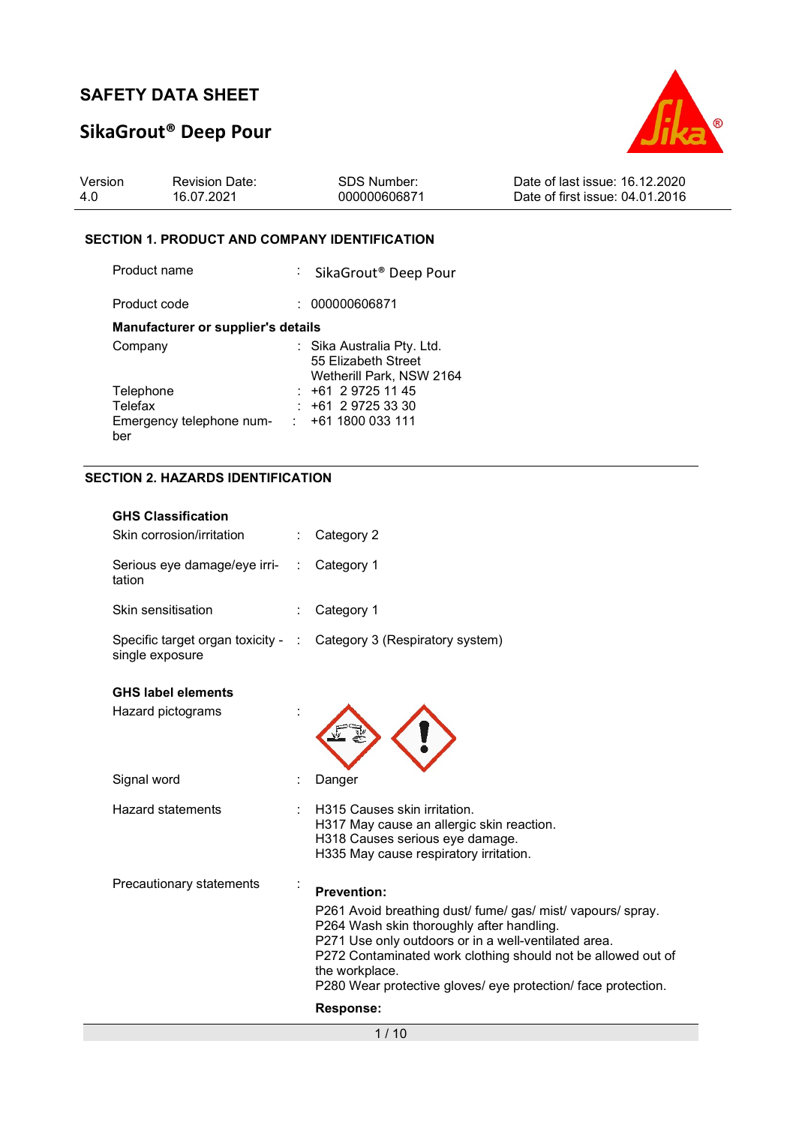# SikaGrout® Deep Pour



| Version | <b>Revision Date:</b> | SDS Number:  | Date of last issue: 16.12.2020  |
|---------|-----------------------|--------------|---------------------------------|
| 4.0     | 16.07.2021            | 000000606871 | Date of first issue: 04.01.2016 |

### SECTION 1. PRODUCT AND COMPANY IDENTIFICATION

| Product name                              | : SikaGrout <sup>®</sup> Deep Pour                                            |
|-------------------------------------------|-------------------------------------------------------------------------------|
| Product code                              | 000000606871                                                                  |
| <b>Manufacturer or supplier's details</b> |                                                                               |
| Company                                   | : Sika Australia Pty. Ltd.<br>55 Elizabeth Street<br>Wetherill Park, NSW 2164 |
| Telephone                                 | $: +61297251145$                                                              |
| Telefax                                   | $+61$ 2 9725 33 30                                                            |
| Emergency telephone num-<br>ber           | $: +611800033111$                                                             |

## SECTION 2. HAZARDS IDENTIFICATION

| <b>GHS Classification</b><br>Skin corrosion/irritation | Category 2                                                                                                                                                                                                                                                                                                          |
|--------------------------------------------------------|---------------------------------------------------------------------------------------------------------------------------------------------------------------------------------------------------------------------------------------------------------------------------------------------------------------------|
| Serious eye damage/eye irri-<br>tation                 | Category 1                                                                                                                                                                                                                                                                                                          |
| Skin sensitisation                                     | Category 1                                                                                                                                                                                                                                                                                                          |
| Specific target organ toxicity - :<br>single exposure  | Category 3 (Respiratory system)                                                                                                                                                                                                                                                                                     |
| <b>GHS label elements</b>                              |                                                                                                                                                                                                                                                                                                                     |
| Hazard pictograms                                      |                                                                                                                                                                                                                                                                                                                     |
| Signal word                                            | Danger                                                                                                                                                                                                                                                                                                              |
| <b>Hazard statements</b>                               | H315 Causes skin irritation.<br>H317 May cause an allergic skin reaction.<br>H318 Causes serious eye damage.<br>H335 May cause respiratory irritation.                                                                                                                                                              |
| Precautionary statements                               | <b>Prevention:</b>                                                                                                                                                                                                                                                                                                  |
|                                                        | P261 Avoid breathing dust/ fume/ gas/ mist/ vapours/ spray.<br>P264 Wash skin thoroughly after handling.<br>P271 Use only outdoors or in a well-ventilated area.<br>P272 Contaminated work clothing should not be allowed out of<br>the workplace.<br>P280 Wear protective gloves/ eye protection/ face protection. |
|                                                        | Response:                                                                                                                                                                                                                                                                                                           |
|                                                        | 1/10                                                                                                                                                                                                                                                                                                                |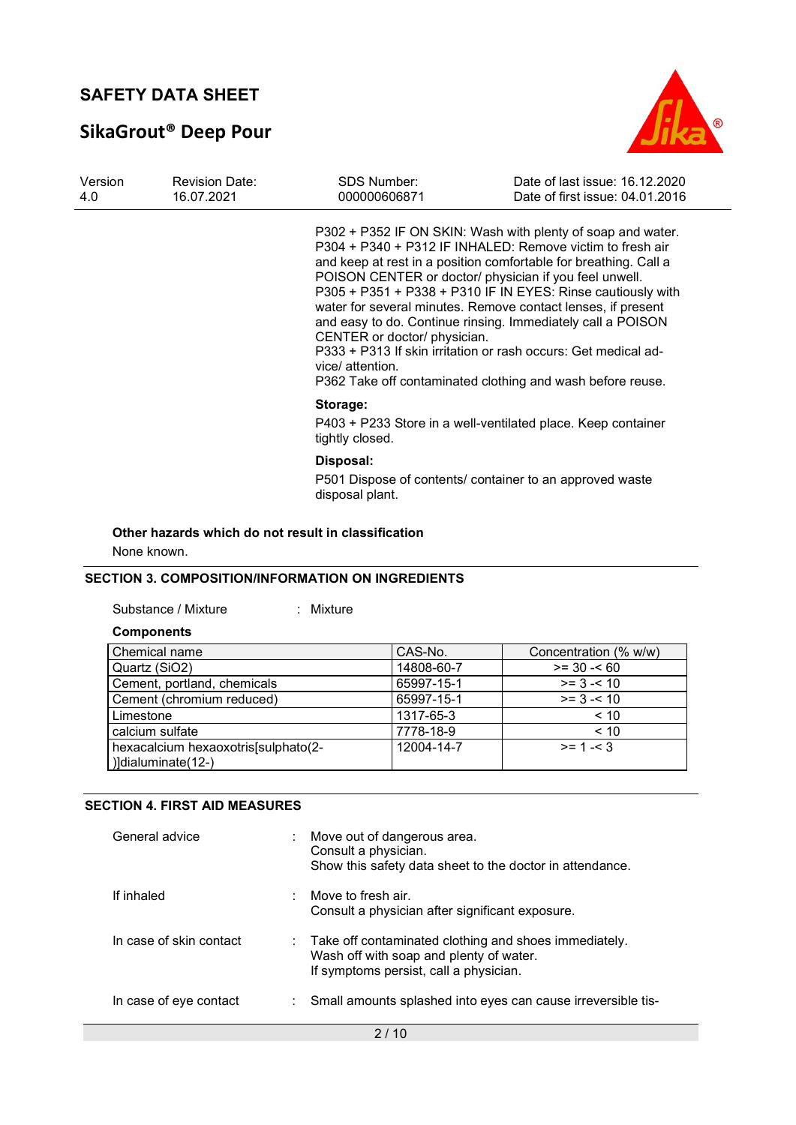# SikaGrout® Deep Pour



| Version<br><b>Revision Date:</b><br>16.07.2021<br>4.0 | <b>SDS Number:</b><br>000000606871                                                                                                                                                                                                                                                                                                                                                                                                                                                                                                                                                                                                       | Date of last issue: 16.12.2020<br>Date of first issue: 04.01.2016 |
|-------------------------------------------------------|------------------------------------------------------------------------------------------------------------------------------------------------------------------------------------------------------------------------------------------------------------------------------------------------------------------------------------------------------------------------------------------------------------------------------------------------------------------------------------------------------------------------------------------------------------------------------------------------------------------------------------------|-------------------------------------------------------------------|
|                                                       | P302 + P352 IF ON SKIN: Wash with plenty of soap and water.<br>P304 + P340 + P312 IF INHALED: Remove victim to fresh air<br>and keep at rest in a position comfortable for breathing. Call a<br>POISON CENTER or doctor/ physician if you feel unwell.<br>P305 + P351 + P338 + P310 IF IN EYES: Rinse cautiously with<br>water for several minutes. Remove contact lenses, if present<br>and easy to do. Continue rinsing. Immediately call a POISON<br>CENTER or doctor/ physician.<br>P333 + P313 If skin irritation or rash occurs: Get medical ad-<br>vice/ attention.<br>P362 Take off contaminated clothing and wash before reuse. |                                                                   |
|                                                       | Storage:<br>P403 + P233 Store in a well-ventilated place. Keep container<br>tightly closed.                                                                                                                                                                                                                                                                                                                                                                                                                                                                                                                                              |                                                                   |
|                                                       | Disposal:<br>P501 Dispose of contents/ container to an approved waste<br>disposal plant.                                                                                                                                                                                                                                                                                                                                                                                                                                                                                                                                                 |                                                                   |

### Other hazards which do not result in classification

None known.

### SECTION 3. COMPOSITION/INFORMATION ON INGREDIENTS

Substance / Mixture : Mixture :

#### **Components**

| Chemical name                                             | CAS-No.    | Concentration (% w/w) |
|-----------------------------------------------------------|------------|-----------------------|
| Quartz (SiO2)                                             | 14808-60-7 | $>= 30 - 60$          |
| Cement, portland, chemicals                               | 65997-15-1 | $>= 3 - 10$           |
| Cement (chromium reduced)                                 | 65997-15-1 | $>= 3 - 10$           |
| Limestone                                                 | 1317-65-3  | < 10                  |
| calcium sulfate                                           | 7778-18-9  | ~10                   |
| hexacalcium hexaoxotris[sulphato(2-<br>)]dialuminate(12-) | 12004-14-7 | $>= 1 - 3$            |

### SECTION 4. FIRST AID MEASURES

| General advice          | Move out of dangerous area.<br>Consult a physician.<br>Show this safety data sheet to the doctor in attendance.                                         |
|-------------------------|---------------------------------------------------------------------------------------------------------------------------------------------------------|
| If inhaled              | Move to fresh air.<br>Consult a physician after significant exposure.                                                                                   |
| In case of skin contact | $\therefore$ Take off contaminated clothing and shoes immediately.<br>Wash off with soap and plenty of water.<br>If symptoms persist, call a physician. |
| In case of eye contact  | Small amounts splashed into eyes can cause irreversible tis-                                                                                            |
|                         | 2 / 10                                                                                                                                                  |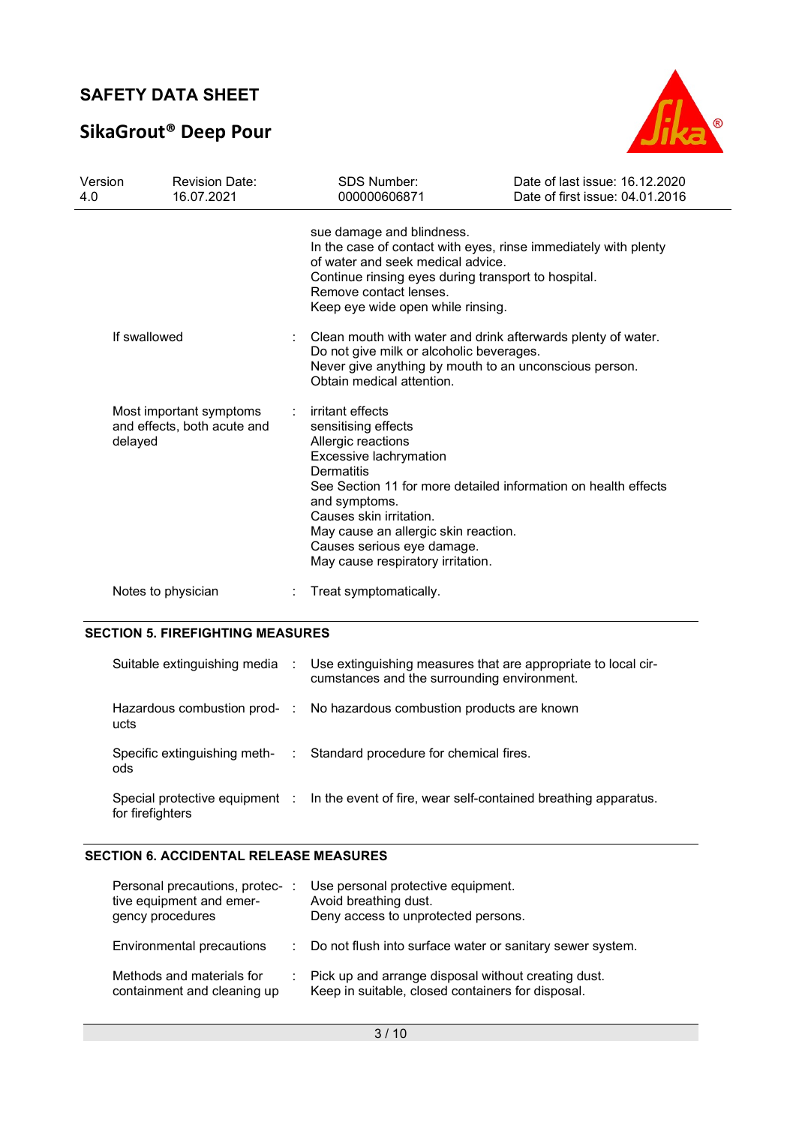# SikaGrout® Deep Pour



| Version<br>4.0 | <b>Revision Date:</b><br>16.07.2021                               | <b>SDS Number:</b><br>000000606871                                                                                                                                                                                                                                                                                             | Date of last issue: 16.12.2020<br>Date of first issue: 04.01.2016 |
|----------------|-------------------------------------------------------------------|--------------------------------------------------------------------------------------------------------------------------------------------------------------------------------------------------------------------------------------------------------------------------------------------------------------------------------|-------------------------------------------------------------------|
|                |                                                                   | sue damage and blindness.<br>In the case of contact with eyes, rinse immediately with plenty<br>of water and seek medical advice.<br>Continue rinsing eyes during transport to hospital.<br>Remove contact lenses.<br>Keep eye wide open while rinsing.                                                                        |                                                                   |
|                | If swallowed                                                      | Clean mouth with water and drink afterwards plenty of water.<br>Do not give milk or alcoholic beverages.<br>Never give anything by mouth to an unconscious person.<br>Obtain medical attention.                                                                                                                                |                                                                   |
|                | Most important symptoms<br>and effects, both acute and<br>delayed | irritant effects<br>sensitising effects<br>Allergic reactions<br>Excessive lachrymation<br>Dermatitis<br>See Section 11 for more detailed information on health effects<br>and symptoms.<br>Causes skin irritation.<br>May cause an allergic skin reaction.<br>Causes serious eye damage.<br>May cause respiratory irritation. |                                                                   |
|                | Notes to physician                                                | Treat symptomatically.                                                                                                                                                                                                                                                                                                         |                                                                   |

### SECTION 5. FIREFIGHTING MEASURES

|                  | Suitable extinguishing media : Use extinguishing measures that are appropriate to local cir-<br>cumstances and the surrounding environment. |
|------------------|---------------------------------------------------------------------------------------------------------------------------------------------|
| ucts             | Hazardous combustion prod- : No hazardous combustion products are known                                                                     |
| ods              | Specific extinguishing meth- : Standard procedure for chemical fires.                                                                       |
| for firefighters | Special protective equipment : In the event of fire, wear self-contained breathing apparatus.                                               |

### SECTION 6. ACCIDENTAL RELEASE MEASURES

| Personal precautions, protec-:<br>tive equipment and emer-<br>gency procedures | Use personal protective equipment.<br>Avoid breathing dust.<br>Deny access to unprotected persons.         |
|--------------------------------------------------------------------------------|------------------------------------------------------------------------------------------------------------|
| Environmental precautions                                                      | : Do not flush into surface water or sanitary sewer system.                                                |
| Methods and materials for<br>containment and cleaning up                       | : Pick up and arrange disposal without creating dust.<br>Keep in suitable, closed containers for disposal. |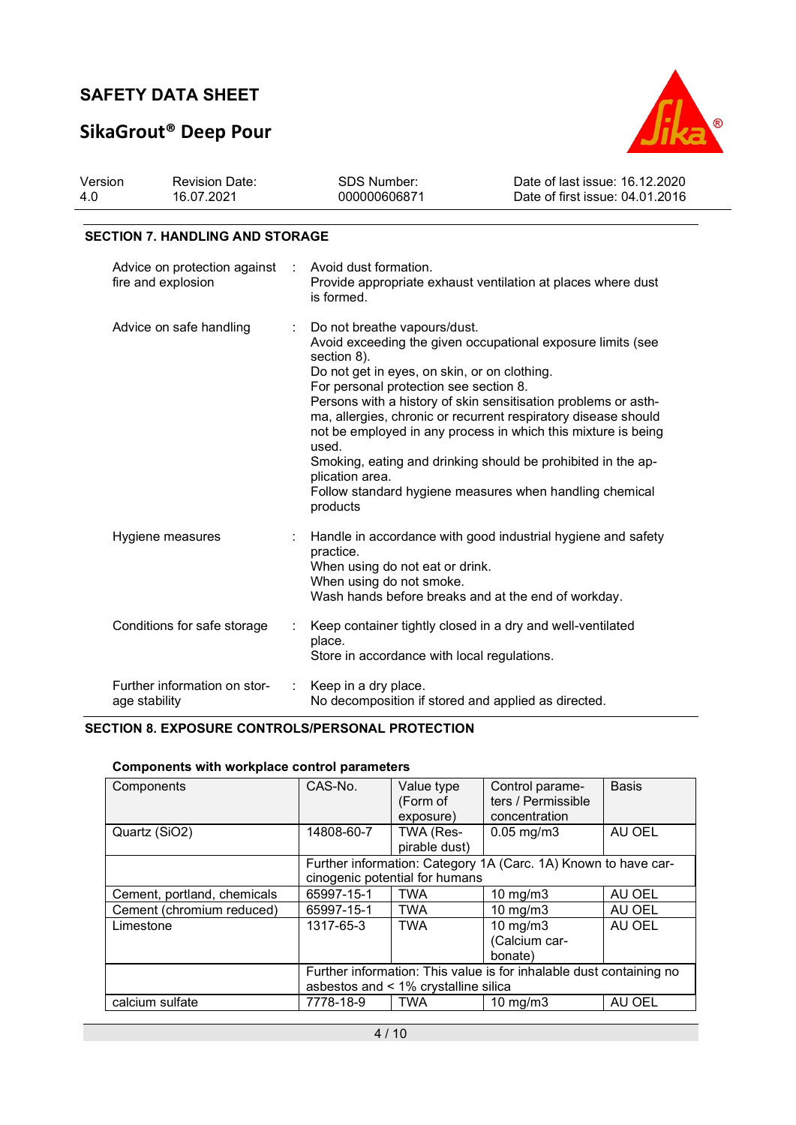# SikaGrout® Deep Pour



| 16.07.2021<br>-4.0 | 000000606871 | Date of first issue: 04.01.2016 |
|--------------------|--------------|---------------------------------|

### SECTION 7. HANDLING AND STORAGE

| Advice on protection against : Avoid dust formation.<br>fire and explosion | Provide appropriate exhaust ventilation at places where dust<br>is formed.                                                                                                                                                                                                                                                                                                                                                                                                                                                                                                   |
|----------------------------------------------------------------------------|------------------------------------------------------------------------------------------------------------------------------------------------------------------------------------------------------------------------------------------------------------------------------------------------------------------------------------------------------------------------------------------------------------------------------------------------------------------------------------------------------------------------------------------------------------------------------|
| Advice on safe handling                                                    | Do not breathe vapours/dust.<br>Avoid exceeding the given occupational exposure limits (see<br>section 8).<br>Do not get in eyes, on skin, or on clothing.<br>For personal protection see section 8.<br>Persons with a history of skin sensitisation problems or asth-<br>ma, allergies, chronic or recurrent respiratory disease should<br>not be employed in any process in which this mixture is being<br>used.<br>Smoking, eating and drinking should be prohibited in the ap-<br>plication area.<br>Follow standard hygiene measures when handling chemical<br>products |
| Hygiene measures                                                           | Handle in accordance with good industrial hygiene and safety<br>practice.<br>When using do not eat or drink.<br>When using do not smoke.<br>Wash hands before breaks and at the end of workday.                                                                                                                                                                                                                                                                                                                                                                              |
| Conditions for safe storage                                                | Keep container tightly closed in a dry and well-ventilated<br>place.<br>Store in accordance with local regulations.                                                                                                                                                                                                                                                                                                                                                                                                                                                          |
| Further information on stor-<br>age stability                              | Keep in a dry place.<br>No decomposition if stored and applied as directed.                                                                                                                                                                                                                                                                                                                                                                                                                                                                                                  |

## SECTION 8. EXPOSURE CONTROLS/PERSONAL PROTECTION

| Components                  | CAS-No.                                                                                                     | Value type<br>(Form of<br>exposure) | Control parame-<br>ters / Permissible<br>concentration | <b>Basis</b> |
|-----------------------------|-------------------------------------------------------------------------------------------------------------|-------------------------------------|--------------------------------------------------------|--------------|
| Quartz (SiO2)               | 14808-60-7                                                                                                  | TWA (Res-<br>pirable dust)          | $0.05 \,\mathrm{mg/m3}$                                | AU OEL       |
|                             | Further information: Category 1A (Carc. 1A) Known to have car-<br>cinogenic potential for humans            |                                     |                                                        |              |
| Cement, portland, chemicals | 65997-15-1                                                                                                  | <b>TWA</b>                          | $10 \text{ mg/m}$                                      | AU OEL       |
| Cement (chromium reduced)   | 65997-15-1                                                                                                  | <b>TWA</b>                          | 10 mg/m $3$                                            | AU OEL       |
| Limestone                   | 1317-65-3                                                                                                   | <b>TWA</b>                          | 10 mg/m $3$<br>(Calcium car-<br>bonate)                | AU OEL       |
|                             | Further information: This value is for inhalable dust containing no<br>asbestos and < 1% crystalline silica |                                     |                                                        |              |
| calcium sulfate             | 7778-18-9                                                                                                   | <b>TWA</b>                          | $10 \text{ mg/m}$                                      | AU OEL       |

### Components with workplace control parameters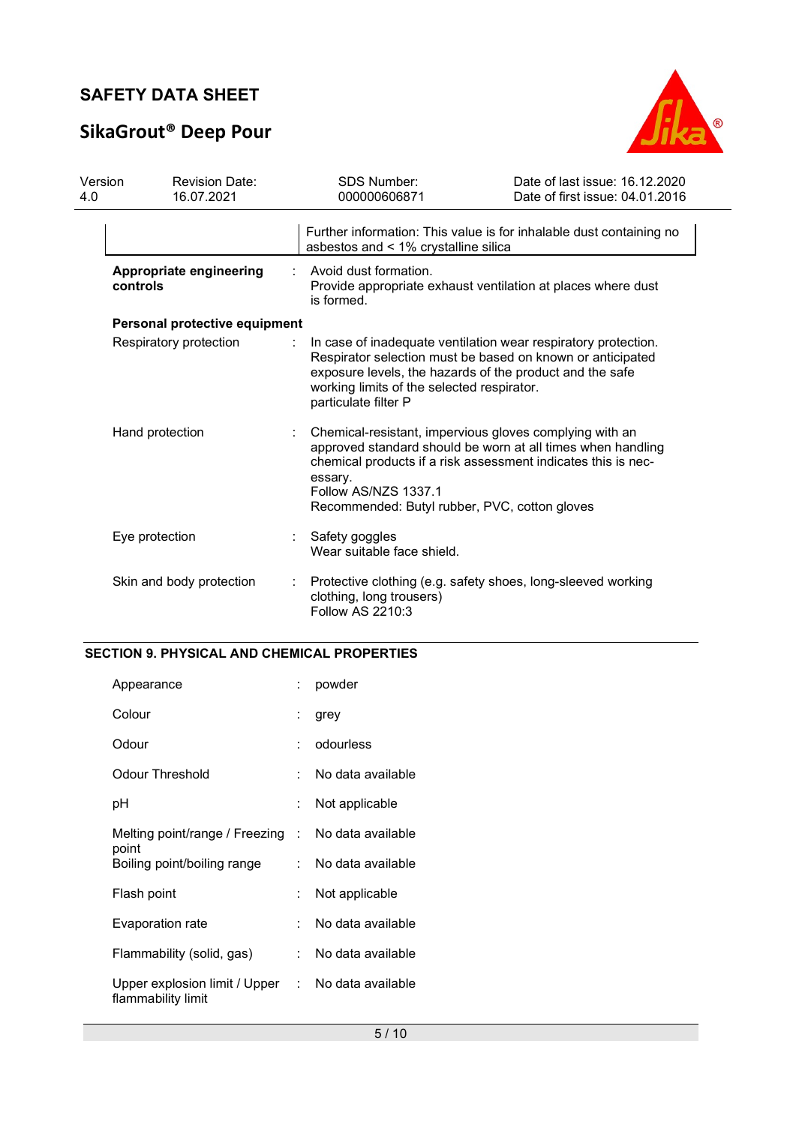# SikaGrout® Deep Pour



| Version<br>4.0 | <b>Revision Date:</b><br>16.07.2021 |  | <b>SDS Number:</b><br>000000606871                                                                                                                                                                                  | Date of last issue: 16.12.2020<br>Date of first issue: 04.01.2016                                                            |
|----------------|-------------------------------------|--|---------------------------------------------------------------------------------------------------------------------------------------------------------------------------------------------------------------------|------------------------------------------------------------------------------------------------------------------------------|
|                |                                     |  | asbestos and $\leq 1\%$ crystalline silica                                                                                                                                                                          | Further information: This value is for inhalable dust containing no                                                          |
|                | Appropriate engineering<br>controls |  | Avoid dust formation.<br>is formed.                                                                                                                                                                                 | Provide appropriate exhaust ventilation at places where dust                                                                 |
|                | Personal protective equipment       |  |                                                                                                                                                                                                                     |                                                                                                                              |
|                | Respiratory protection              |  | exposure levels, the hazards of the product and the safe<br>working limits of the selected respirator.<br>particulate filter P                                                                                      | In case of inadequate ventilation wear respiratory protection.<br>Respirator selection must be based on known or anticipated |
|                | Hand protection                     |  | Chemical-resistant, impervious gloves complying with an<br>chemical products if a risk assessment indicates this is nec-<br>essary.<br><b>Follow AS/NZS 1337.1</b><br>Recommended: Butyl rubber, PVC, cotton gloves | approved standard should be worn at all times when handling                                                                  |
|                | Eye protection                      |  | Safety goggles<br>Wear suitable face shield.                                                                                                                                                                        |                                                                                                                              |
|                | Skin and body protection            |  | Protective clothing (e.g. safety shoes, long-sleeved working<br>clothing, long trousers)<br>Follow AS 2210:3                                                                                                        |                                                                                                                              |

## SECTION 9. PHYSICAL AND CHEMICAL PROPERTIES

| Appearance                                                              |    | powder              |
|-------------------------------------------------------------------------|----|---------------------|
| Colour                                                                  |    | grey                |
| Odour                                                                   | ٠. | odourless           |
| Odour Threshold                                                         | ۰. | No data available   |
| рH                                                                      |    | Not applicable      |
| Melting point/range / Freezing : No data available<br>point             |    |                     |
| Boiling point/boiling range                                             |    | : No data available |
| Flash point                                                             |    | Not applicable      |
| Evaporation rate                                                        | t. | No data available   |
| Flammability (solid, gas)                                               |    | : No data available |
| Upper explosion limit / Upper : No data available<br>flammability limit |    |                     |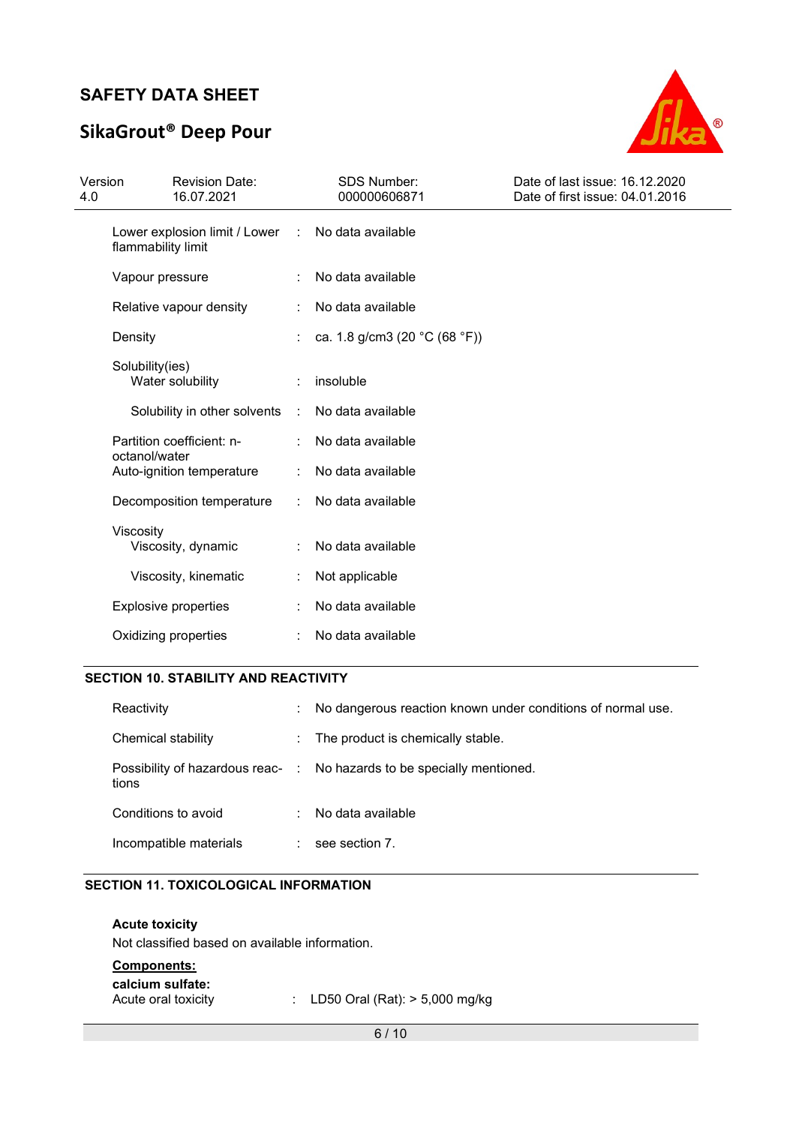# SikaGrout® Deep Pour



| Version<br>4.0 |                             | <b>Revision Date:</b><br>16.07.2021 |   | <b>SDS Number:</b><br>000000606871                | Date of last issue: 16.12.2020<br>Date of first issue: 04.01.2016 |
|----------------|-----------------------------|-------------------------------------|---|---------------------------------------------------|-------------------------------------------------------------------|
|                | flammability limit          | Lower explosion limit / Lower :     |   | No data available                                 |                                                                   |
|                | Vapour pressure             |                                     |   | No data available                                 |                                                                   |
|                |                             | Relative vapour density             |   | No data available                                 |                                                                   |
|                | Density                     |                                     |   | ca. 1.8 g/cm3 (20 $^{\circ}$ C (68 $^{\circ}$ F)) |                                                                   |
|                | Solubility(ies)             | Water solubility                    |   | insoluble                                         |                                                                   |
|                |                             | Solubility in other solvents        | ÷ | No data available                                 |                                                                   |
|                |                             | Partition coefficient: n-           |   | No data available                                 |                                                                   |
|                | octanol/water               | Auto-ignition temperature           | ÷ | No data available                                 |                                                                   |
|                |                             | Decomposition temperature           |   | No data available                                 |                                                                   |
|                | Viscosity                   | Viscosity, dynamic                  |   | No data available                                 |                                                                   |
|                |                             | Viscosity, kinematic                |   | Not applicable                                    |                                                                   |
|                | <b>Explosive properties</b> |                                     |   | No data available                                 |                                                                   |
|                | Oxidizing properties        |                                     |   | No data available                                 |                                                                   |

## SECTION 10. STABILITY AND REACTIVITY

| Reactivity             | ÷ | No dangerous reaction known under conditions of normal use.            |
|------------------------|---|------------------------------------------------------------------------|
| Chemical stability     |   | : The product is chemically stable.                                    |
| tions                  |   | Possibility of hazardous reac- : No hazards to be specially mentioned. |
| Conditions to avoid    | ÷ | No data available                                                      |
| Incompatible materials |   | see section 7.                                                         |

### SECTION 11. TOXICOLOGICAL INFORMATION

| <b>Acute toxicity</b><br>Not classified based on available information. |                                    |
|-------------------------------------------------------------------------|------------------------------------|
| <b>Components:</b>                                                      |                                    |
| calcium sulfate:<br>Acute oral toxicity                                 | : LD50 Oral (Rat): $> 5,000$ mg/kg |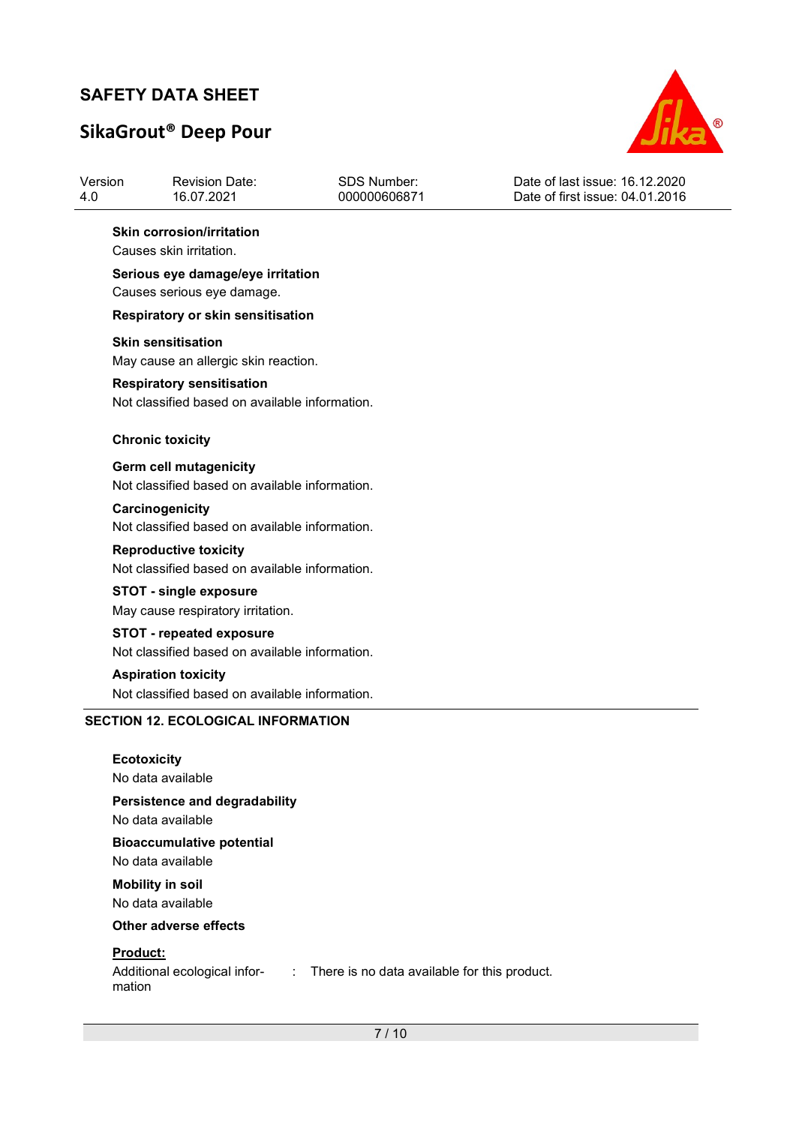# SikaGrout® Deep Pour



| Version<br>4.0 | <b>Revision Date:</b><br>16.07.2021                                                                   | <b>SDS Number:</b><br>000000606871                                           | Date of last issue: 16.12.2020<br>Date of first issue: 04.01.2016 |  |  |  |  |  |
|----------------|-------------------------------------------------------------------------------------------------------|------------------------------------------------------------------------------|-------------------------------------------------------------------|--|--|--|--|--|
|                | <b>Skin corrosion/irritation</b><br>Causes skin irritation.                                           |                                                                              |                                                                   |  |  |  |  |  |
|                | Serious eye damage/eye irritation<br>Causes serious eye damage.                                       |                                                                              |                                                                   |  |  |  |  |  |
|                | <b>Respiratory or skin sensitisation</b>                                                              |                                                                              |                                                                   |  |  |  |  |  |
|                | <b>Skin sensitisation</b><br>May cause an allergic skin reaction.<br><b>Respiratory sensitisation</b> |                                                                              |                                                                   |  |  |  |  |  |
|                | Not classified based on available information.                                                        |                                                                              |                                                                   |  |  |  |  |  |
|                | <b>Chronic toxicity</b>                                                                               |                                                                              |                                                                   |  |  |  |  |  |
|                | <b>Germ cell mutagenicity</b><br>Not classified based on available information.                       |                                                                              |                                                                   |  |  |  |  |  |
|                | Carcinogenicity<br>Not classified based on available information.                                     |                                                                              |                                                                   |  |  |  |  |  |
|                | <b>Reproductive toxicity</b><br>Not classified based on available information.                        |                                                                              |                                                                   |  |  |  |  |  |
|                | <b>STOT - single exposure</b><br>May cause respiratory irritation.                                    |                                                                              |                                                                   |  |  |  |  |  |
|                | <b>STOT - repeated exposure</b><br>Not classified based on available information.                     |                                                                              |                                                                   |  |  |  |  |  |
|                | <b>Aspiration toxicity</b><br>Not classified based on available information.                          |                                                                              |                                                                   |  |  |  |  |  |
|                | <b>SECTION 12. ECOLOGICAL INFORMATION</b>                                                             |                                                                              |                                                                   |  |  |  |  |  |
|                | <b>Ecotoxicity</b><br>No data available                                                               |                                                                              |                                                                   |  |  |  |  |  |
|                | Persistence and degradability<br>No data available                                                    |                                                                              |                                                                   |  |  |  |  |  |
|                | <b>Bioaccumulative potential</b><br>No data available                                                 |                                                                              |                                                                   |  |  |  |  |  |
|                | <b>Mobility in soil</b><br>No data available                                                          |                                                                              |                                                                   |  |  |  |  |  |
|                | Other adverse effects                                                                                 |                                                                              |                                                                   |  |  |  |  |  |
|                | Product:<br>Additional ecological infor-<br>mation                                                    | There is no data available for this product.<br>$\mathcal{L}_{\mathrm{max}}$ |                                                                   |  |  |  |  |  |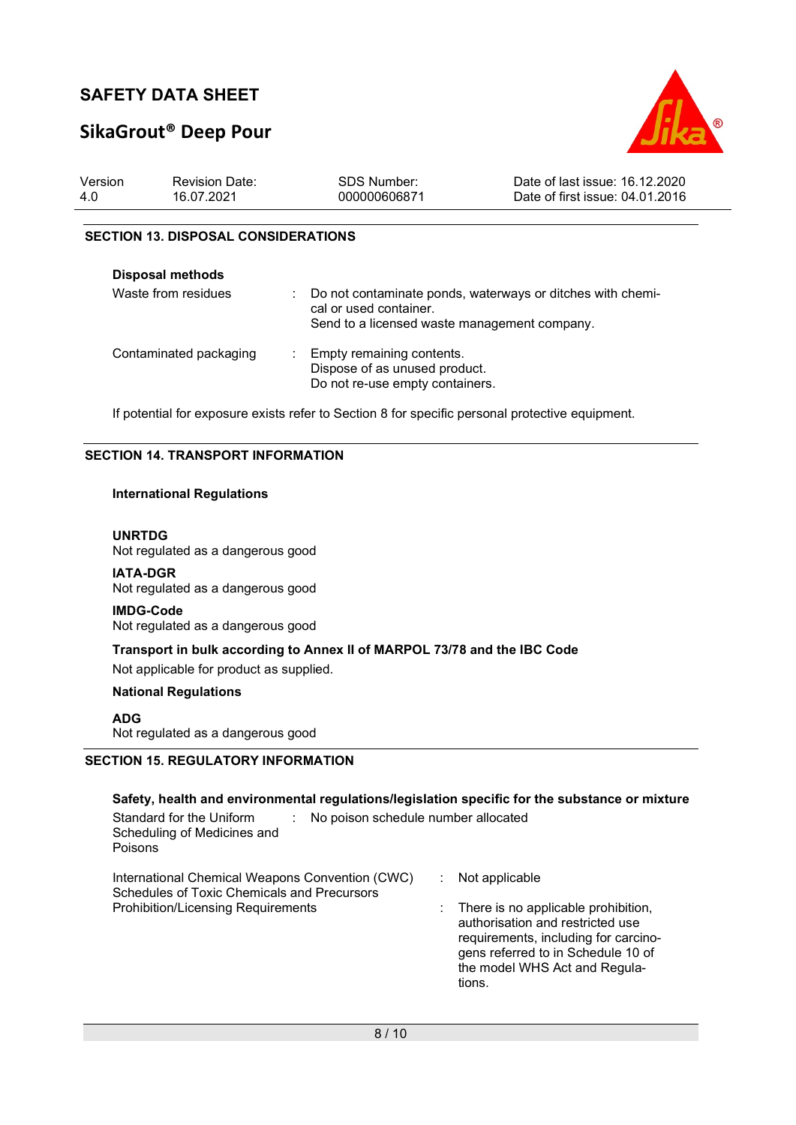# SikaGrout® Deep Pour



| Version | <b>Revision Date:</b> | SDS Number:  | Date of last issue: 16.12.2020  |
|---------|-----------------------|--------------|---------------------------------|
| 4.0     | 16.07.2021            | 000000606871 | Date of first issue: 04.01.2016 |

#### SECTION 13. DISPOSAL CONSIDERATIONS

| <b>Disposal methods</b> |                                                                                                                                      |
|-------------------------|--------------------------------------------------------------------------------------------------------------------------------------|
| Waste from residues     | Do not contaminate ponds, waterways or ditches with chemi-<br>cal or used container.<br>Send to a licensed waste management company. |
| Contaminated packaging  | Empty remaining contents.<br>Dispose of as unused product.<br>Do not re-use empty containers.                                        |

If potential for exposure exists refer to Section 8 for specific personal protective equipment.

### SECTION 14. TRANSPORT INFORMATION

#### International Regulations

#### UNRTDG

Not regulated as a dangerous good

IATA-DGR Not regulated as a dangerous good

#### IMDG-Code

Not regulated as a dangerous good

## Transport in bulk according to Annex II of MARPOL 73/78 and the IBC Code

Not applicable for product as supplied.

#### National Regulations

ADG

Not regulated as a dangerous good

### SECTION 15. REGULATORY INFORMATION

| Safety, health and environmental regulations/legislation specific for the substance or mixture<br>Standard for the Uniform<br>No poison schedule number allocated<br>Scheduling of Medicines and<br>Poisons |                                                                                                                                                                                                                                 |
|-------------------------------------------------------------------------------------------------------------------------------------------------------------------------------------------------------------|---------------------------------------------------------------------------------------------------------------------------------------------------------------------------------------------------------------------------------|
| International Chemical Weapons Convention (CWC)<br>Schedules of Toxic Chemicals and Precursors<br><b>Prohibition/Licensing Requirements</b>                                                                 | Not applicable<br>$\therefore$ There is no applicable prohibition,<br>authorisation and restricted use<br>requirements, including for carcino-<br>gens referred to in Schedule 10 of<br>the model WHS Act and Regula-<br>tions. |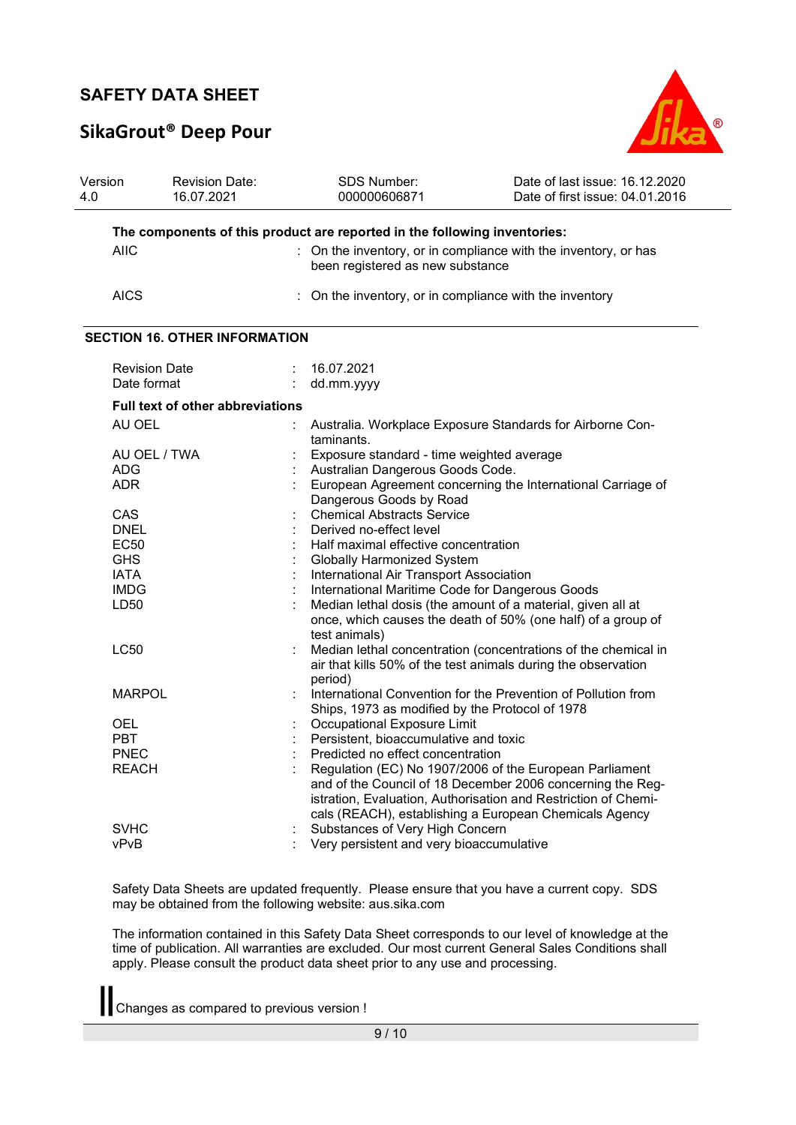# SikaGrout® Deep Pour



| Version<br>4.0 | <b>Revision Date:</b><br>16.07.2021     | SDS Number:<br>000000606871                                                                                                                                                                                                                       | Date of last issue: 16.12.2020<br>Date of first issue: 04.01.2016 |
|----------------|-----------------------------------------|---------------------------------------------------------------------------------------------------------------------------------------------------------------------------------------------------------------------------------------------------|-------------------------------------------------------------------|
|                |                                         | The components of this product are reported in the following inventories:                                                                                                                                                                         |                                                                   |
|                | <b>AIIC</b>                             | : On the inventory, or in compliance with the inventory, or has<br>been registered as new substance                                                                                                                                               |                                                                   |
|                | <b>AICS</b>                             | : On the inventory, or in compliance with the inventory                                                                                                                                                                                           |                                                                   |
|                | <b>SECTION 16. OTHER INFORMATION</b>    |                                                                                                                                                                                                                                                   |                                                                   |
|                | <b>Revision Date</b>                    | 16.07.2021                                                                                                                                                                                                                                        |                                                                   |
|                | Date format                             | dd.mm.yyyy                                                                                                                                                                                                                                        |                                                                   |
|                | <b>Full text of other abbreviations</b> |                                                                                                                                                                                                                                                   |                                                                   |
|                | AU OEL                                  | Australia. Workplace Exposure Standards for Airborne Con-<br>taminants.                                                                                                                                                                           |                                                                   |
|                | AU OEL / TWA                            | Exposure standard - time weighted average                                                                                                                                                                                                         |                                                                   |
|                | <b>ADG</b>                              | Australian Dangerous Goods Code.                                                                                                                                                                                                                  |                                                                   |
|                | ADR.                                    | European Agreement concerning the International Carriage of                                                                                                                                                                                       |                                                                   |
|                |                                         | Dangerous Goods by Road                                                                                                                                                                                                                           |                                                                   |
|                | CAS                                     | <b>Chemical Abstracts Service</b>                                                                                                                                                                                                                 |                                                                   |
|                | <b>DNEL</b>                             | Derived no-effect level                                                                                                                                                                                                                           |                                                                   |
|                | EC50                                    | Half maximal effective concentration                                                                                                                                                                                                              |                                                                   |
|                | <b>GHS</b>                              | <b>Globally Harmonized System</b>                                                                                                                                                                                                                 |                                                                   |
|                | <b>IATA</b>                             | International Air Transport Association                                                                                                                                                                                                           |                                                                   |
|                | <b>IMDG</b>                             | International Maritime Code for Dangerous Goods                                                                                                                                                                                                   |                                                                   |
|                | LD50                                    | Median lethal dosis (the amount of a material, given all at<br>once, which causes the death of 50% (one half) of a group of<br>test animals)                                                                                                      |                                                                   |
|                | <b>LC50</b>                             | Median lethal concentration (concentrations of the chemical in<br>air that kills 50% of the test animals during the observation<br>period)                                                                                                        |                                                                   |
|                | <b>MARPOL</b>                           | International Convention for the Prevention of Pollution from<br>Ships, 1973 as modified by the Protocol of 1978                                                                                                                                  |                                                                   |
|                | OEL                                     | Occupational Exposure Limit                                                                                                                                                                                                                       |                                                                   |
|                | <b>PBT</b>                              | Persistent, bioaccumulative and toxic                                                                                                                                                                                                             |                                                                   |
|                | <b>PNEC</b>                             | Predicted no effect concentration                                                                                                                                                                                                                 |                                                                   |
|                | <b>REACH</b>                            | Regulation (EC) No 1907/2006 of the European Parliament<br>and of the Council of 18 December 2006 concerning the Reg-<br>istration, Evaluation, Authorisation and Restriction of Chemi-<br>cals (REACH), establishing a European Chemicals Agency |                                                                   |
|                | <b>SVHC</b>                             | Substances of Very High Concern                                                                                                                                                                                                                   |                                                                   |
|                | vPvB                                    | Very persistent and very bioaccumulative                                                                                                                                                                                                          |                                                                   |

Safety Data Sheets are updated frequently. Please ensure that you have a current copy. SDS may be obtained from the following website: aus.sika.com

The information contained in this Safety Data Sheet corresponds to our level of knowledge at the time of publication. All warranties are excluded. Our most current General Sales Conditions shall apply. Please consult the product data sheet prior to any use and processing.

Changes as compared to previous version !